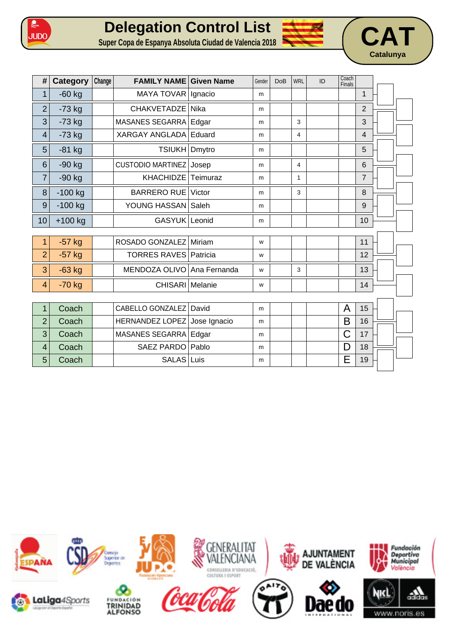





| #              | Category  | Change | <b>FAMILY NAME Given Name</b> |              | Gender | <b>DoB</b> | <b>WRL</b>   | ID | Coach<br>Finals |                |  |
|----------------|-----------|--------|-------------------------------|--------------|--------|------------|--------------|----|-----------------|----------------|--|
| $\mathbf 1$    | $-60$ kg  |        | MAYA TOVAR                    | Ignacio      | m      |            |              |    |                 | $\mathbf{1}$   |  |
| $\overline{2}$ | $-73$ kg  |        | <b>CHAKVETADZE</b>            | Nika         | m      |            |              |    |                 | $\overline{2}$ |  |
| 3              | $-73$ kg  |        | MASANES SEGARRA               | Edgar        | m      |            | 3            |    |                 | 3              |  |
| 4              | $-73$ kg  |        | XARGAY ANGLADA                | Eduard       | m      |            | 4            |    |                 | $\overline{4}$ |  |
| 5              | $-81$ kg  |        | TSIUKH Dmytro                 |              | m      |            |              |    |                 | 5              |  |
| 6              | $-90$ kg  |        | <b>CUSTODIO MARTINEZ</b>      | Josep        | m      |            | 4            |    |                 | $6\phantom{1}$ |  |
| $\overline{7}$ | $-90$ kg  |        | <b>KHACHIDZE</b>              | Teimuraz     | m      |            | $\mathbf{1}$ |    |                 | $\overline{7}$ |  |
| 8              | $-100$ kg |        | <b>BARRERO RUE</b>            | Victor       | m      |            | 3            |    |                 | 8              |  |
| 9              | $-100$ kg |        | YOUNG HASSAN Saleh            |              | m      |            |              |    |                 | 9              |  |
| 10             | $+100$ kg |        | GASYUK Leonid                 |              | m      |            |              |    |                 | 10             |  |
|                |           |        |                               |              |        |            |              |    |                 |                |  |
| 1              | $-57$ kg  |        | ROSADO GONZALEZ               | Miriam       | W      |            |              |    |                 | 11             |  |
| $\overline{2}$ | $-57$ kg  |        | <b>TORRES RAVES Patricia</b>  |              | W      |            |              |    |                 | 12             |  |
| 3              | $-63$ kg  |        | MENDOZA OLIVO Ana Fernanda    |              | W      |            | 3            |    |                 | 13             |  |
| 4              | $-70$ kg  |        | CHISARI Melanie               |              | W      |            |              |    |                 | 14             |  |
|                |           |        |                               |              |        |            |              |    |                 |                |  |
| $\mathbf{1}$   | Coach     |        | CABELLO GONZALEZ              | David        | m      |            |              |    | A               | 15             |  |
| $\overline{2}$ | Coach     |        | <b>HERNANDEZ LOPEZ</b>        | Jose Ignacio | m      |            |              |    | B               | 16             |  |
| 3              | Coach     |        | MASANES SEGARRA               | Edgar        | m      |            |              |    | C               | 17             |  |
| $\overline{4}$ | Coach     |        | <b>SAEZ PARDO</b>             | Pablo        | m      |            |              |    | D               | 18             |  |
| 5              | Coach     |        | SALAS                         | Luis         | m      |            |              |    | E               | 19             |  |

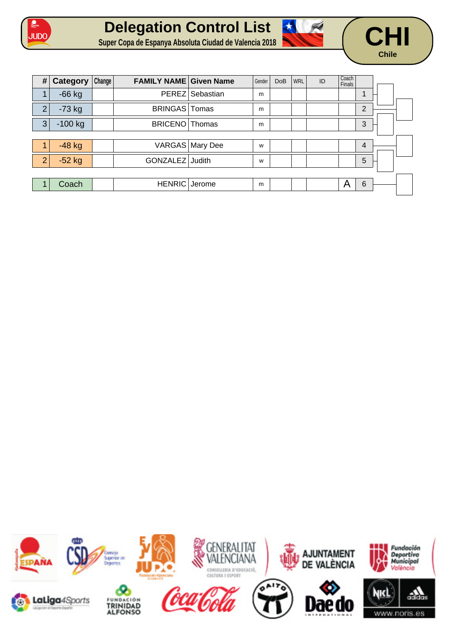





| #                       | Category  | Change | <b>FAMILY NAME Given Name</b> |                 | Gender | <b>DoB</b> | <b>WRL</b> | ID | Coach<br>Finals |                |  |
|-------------------------|-----------|--------|-------------------------------|-----------------|--------|------------|------------|----|-----------------|----------------|--|
| $\overline{\mathbf{A}}$ | $-66$ kg  |        |                               | PEREZ Sebastian | m      |            |            |    |                 |                |  |
| $\overline{2}$          | $-73$ kg  |        | BRINGAS   Tomas               |                 | m      |            |            |    |                 | $\overline{2}$ |  |
| 3                       | $-100$ kg |        | BRICENO Thomas                |                 | m      |            |            |    |                 | 3              |  |
|                         |           |        |                               |                 |        |            |            |    |                 |                |  |
|                         | $-48$ kg  |        |                               | VARGAS Mary Dee | W      |            |            |    |                 | 4              |  |
| $\overline{2}$          | $-52$ kg  |        | GONZALEZ Judith               |                 | W      |            |            |    |                 | 5              |  |
|                         |           |        |                               |                 |        |            |            |    |                 |                |  |
|                         | Coach     |        | HENRIC Jerome                 |                 | m      |            |            |    | A               | 6              |  |

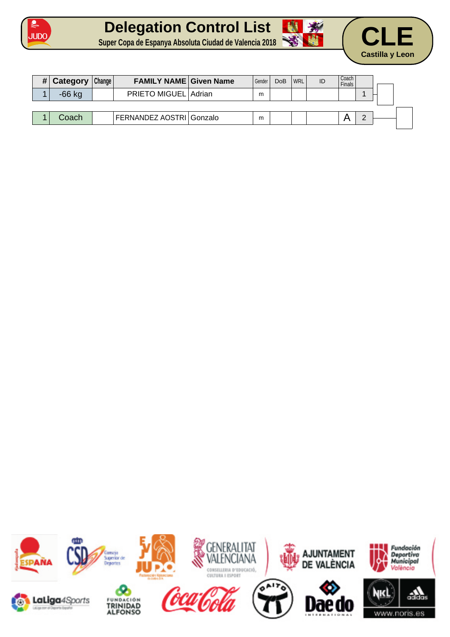





| # Category | Change | <b>FAMILY NAME Given Name</b> | Gender I | <b>DoB</b> | <b>WRL</b> | ID | Coach<br>Finals |  |
|------------|--------|-------------------------------|----------|------------|------------|----|-----------------|--|
| $-66$ kg   |        | PRIETO MIGUEL Adrian          | m        |            |            |    |                 |  |
|            |        |                               |          |            |            |    |                 |  |
| Coach      |        | FERNANDEZ AOSTRI Gonzalo      | m        |            |            |    |                 |  |

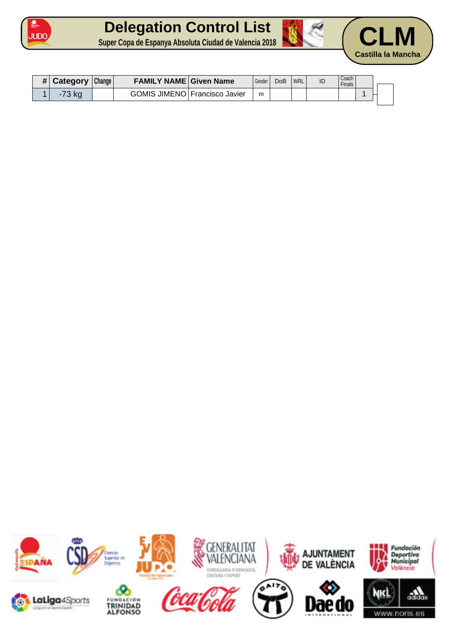

## **Delegation Control List Super Copa de Espanya Absoluta Ciudad de Valencia 2018 CLM**





| <b>Category</b>    | Change | <b>FAMILY NAME Given Name</b> |                               | Gender | DoB | <b>WRL</b> | ID | Coach<br>Finals, |  |
|--------------------|--------|-------------------------------|-------------------------------|--------|-----|------------|----|------------------|--|
| $\overline{70}$ kg |        |                               | GOMIS JIMENO Francisco Javier | m      |     |            |    |                  |  |

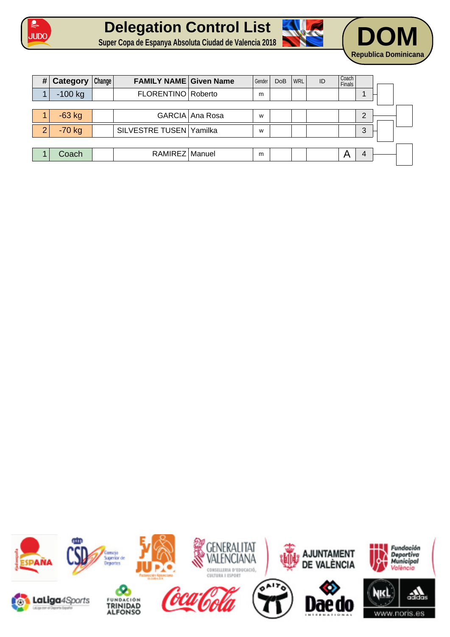





| # | Category  | Change | <b>FAMILY NAME Given Name</b> |                 | Gender | <b>DoB</b> | <b>WRL</b> | ID | Coach<br><b>Finals</b> |   |  |
|---|-----------|--------|-------------------------------|-----------------|--------|------------|------------|----|------------------------|---|--|
|   | $-100$ kg |        | FLORENTINO Roberto            |                 | m      |            |            |    |                        |   |  |
|   |           |        |                               |                 |        |            |            |    |                        |   |  |
|   | $-63$ kg  |        |                               | GARCIA Ana Rosa | W      |            |            |    |                        | າ |  |
| າ | $-70$ kg  |        | SILVESTRE TUSEN Yamilka       |                 | W      |            |            |    |                        | 3 |  |
|   |           |        |                               |                 |        |            |            |    |                        |   |  |
|   | Coach     |        | RAMIREZ Manuel                |                 | m      |            |            |    | A                      | 4 |  |

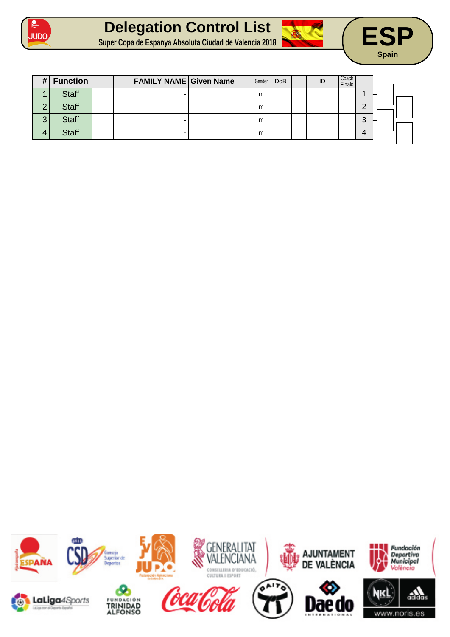





| # | <b>Function</b> | <b>FAMILY NAME Given Name</b> | Gender | <b>DoB</b> | ID | Coach<br>Finals |        |  |
|---|-----------------|-------------------------------|--------|------------|----|-----------------|--------|--|
|   | <b>Staff</b>    |                               | m      |            |    |                 |        |  |
| ⌒ | <b>Staff</b>    | -                             | m      |            |    |                 | ◠      |  |
| 3 | <b>Staff</b>    |                               | m      |            |    |                 | ⌒<br>د |  |
| 4 | <b>Staff</b>    |                               | m      |            |    |                 |        |  |
|   |                 |                               |        |            |    |                 |        |  |

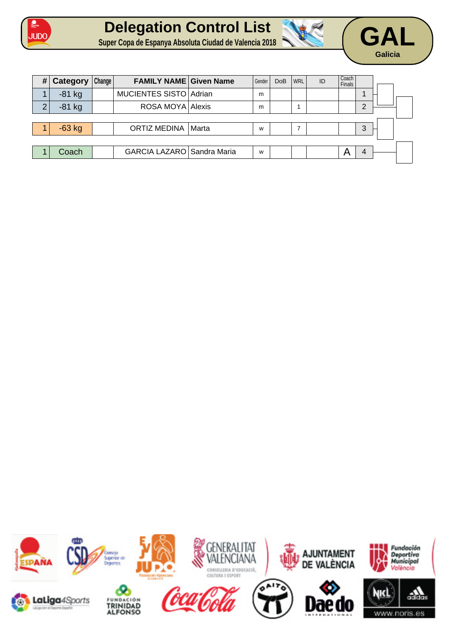





| # | <b>Category</b> | Change | <b>FAMILY NAME Given Name</b> |       | Gender | <b>DoB</b> | WRL | ID | Coach<br><b>Finals</b> |   |  |
|---|-----------------|--------|-------------------------------|-------|--------|------------|-----|----|------------------------|---|--|
|   | $-81$ kg        |        | MUCIENTES SISTO Adrian        |       | m      |            |     |    |                        |   |  |
| ⌒ | $-81$ kg        |        | ROSA MOYA Alexis              |       | m      |            |     |    |                        | ⌒ |  |
|   |                 |        |                               |       |        |            |     |    |                        |   |  |
|   | $-63$ kg        |        | <b>ORTIZ MEDINA</b>           | Marta | W      |            | ⇁   |    |                        | 3 |  |
|   |                 |        |                               |       |        |            |     |    |                        |   |  |
|   | Coach           |        | GARCIA LAZARO Sandra Maria    |       | W      |            |     |    |                        |   |  |

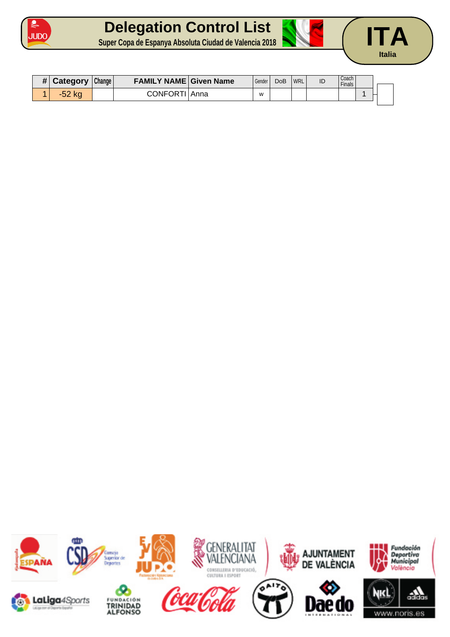

## **Delegation Control List Super Copa de Espanya Absoluta Ciudad de Valencia 2018 ITA**



| <b>Category</b> | Change | <b>FAMILY NAME Given Name</b> |      | Gender | <b>DoB</b> | <b>WRL</b> | ID | Coach<br>Finals . |  |  |
|-----------------|--------|-------------------------------|------|--------|------------|------------|----|-------------------|--|--|
| -52             |        | CONFORTI                      | Anna | W      |            |            |    |                   |  |  |

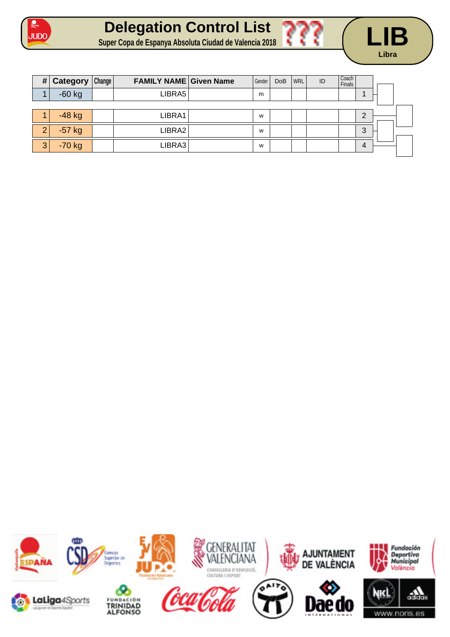





| # | Category | Change | <b>FAMILY NAME Given Name</b> | Gender | <b>DoB</b> | <b>WRL</b> | ID | Coach<br>Finals |   |  |
|---|----------|--------|-------------------------------|--------|------------|------------|----|-----------------|---|--|
|   | $-60$ kg |        | LIBRA5                        | m      |            |            |    |                 |   |  |
|   |          |        |                               |        |            |            |    |                 |   |  |
|   | $-48$ kg |        | LIBRA1                        | W      |            |            |    |                 | ◠ |  |
| າ | $-57$ kg |        | LIBRA2                        | W      |            |            |    |                 | 3 |  |
| 3 | $-70$ kg |        | LIBRA3                        | W      |            |            |    |                 |   |  |

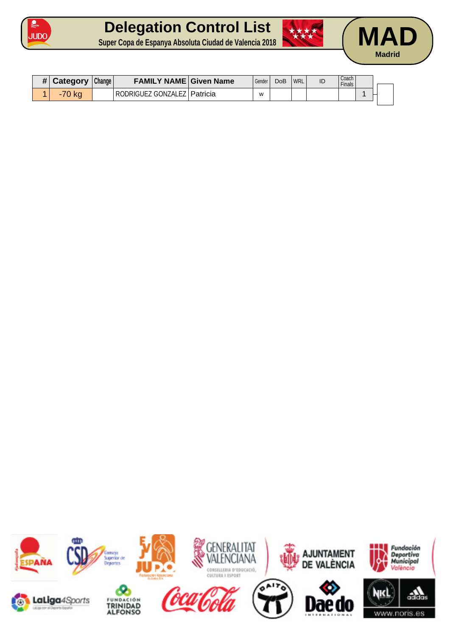

## **Delegation Control List Super Copa de Espanya Absoluta Ciudad de Valencia 2018 MAD**







| $H$ Category | Change | <b>FAMILY NAME Given Name</b> | Gender | DoB | <b>WRL</b> | ID | Coach<br>Finals |  |
|--------------|--------|-------------------------------|--------|-----|------------|----|-----------------|--|
| -70 kg       |        | RODRIGUEZ GONZALEZ   Patricia | W      |     |            |    |                 |  |

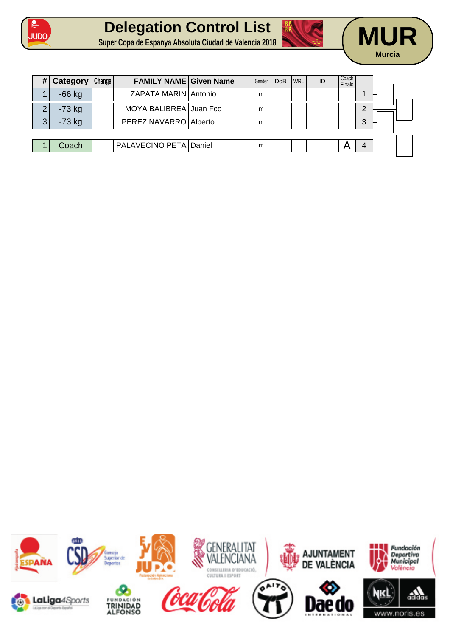





| # | Category | Change | <b>FAMILY NAME Given Name</b> | Gender | <b>DoB</b> | WRL | ID | Coach<br>Finals |          |
|---|----------|--------|-------------------------------|--------|------------|-----|----|-----------------|----------|
|   | $-66$ kg |        | ZAPATA MARIN Antonio          | m      |            |     |    |                 |          |
| ◠ | $-73$ kg |        | MOYA BALIBREA Juan Fco        | m      |            |     |    |                 | റ        |
| 3 | $-73$ kg |        | PEREZ NAVARRO Alberto         | m      |            |     |    |                 | 3        |
|   |          |        |                               |        |            |     |    |                 |          |
|   | Coach    |        | PALAVECINO PETA Daniel        | m      |            |     |    |                 | $\Delta$ |

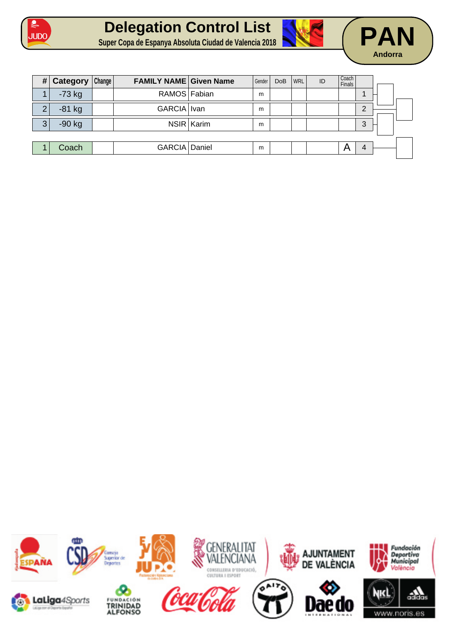





| # | Category | Change | <b>FAMILY NAME Given Name</b> |            | Gender | <b>DoB</b> | <b>WRL</b> | ID | Coach<br>Finals |   |  |
|---|----------|--------|-------------------------------|------------|--------|------------|------------|----|-----------------|---|--|
|   | $-73$ kg |        | RAMOS Fabian                  |            | m      |            |            |    |                 |   |  |
| ⌒ | $-81$ kg |        | GARCIA   Ivan                 |            | m      |            |            |    |                 | ⌒ |  |
| 3 | $-90$ kg |        |                               | NSIR Karim | m      |            |            |    |                 | 3 |  |
|   |          |        |                               |            |        |            |            |    |                 |   |  |
|   | Coach    |        | GARCIA Daniel                 |            | m      |            |            |    | А               | 4 |  |

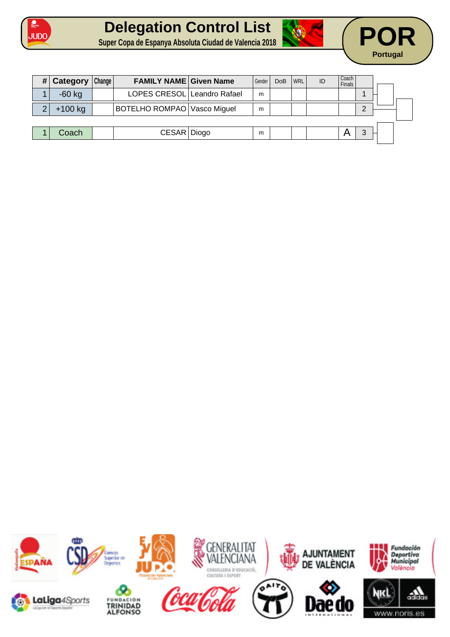





| LOPES CRESOL Leandro Rafael<br>$-60$ kg<br>m<br>$+100$ kg<br>BOTELHO ROMPAO Vasco Miguel<br>m<br>CESAR   Diogo<br>Coach<br>2<br>m | Category | Change | <b>FAMILY NAME Given Name</b> | Gender | <b>DoB</b> | <b>WRL</b> | ID | Coach<br><b>Finals</b> |  |
|-----------------------------------------------------------------------------------------------------------------------------------|----------|--------|-------------------------------|--------|------------|------------|----|------------------------|--|
|                                                                                                                                   |          |        |                               |        |            |            |    |                        |  |
|                                                                                                                                   |          |        |                               |        |            |            |    |                        |  |
|                                                                                                                                   |          |        |                               |        |            |            |    |                        |  |
|                                                                                                                                   |          |        |                               |        |            |            |    |                        |  |

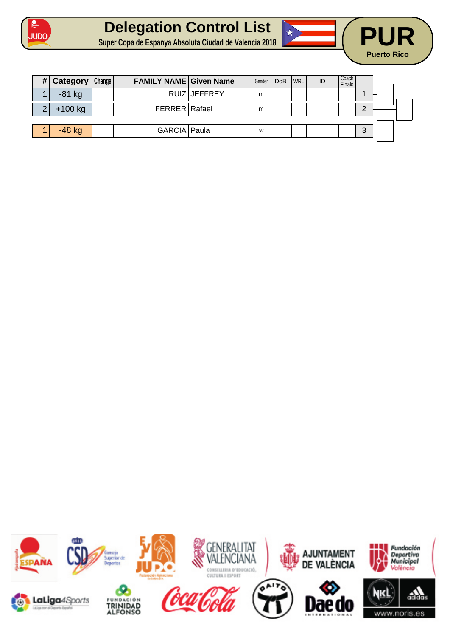





| #        | Category  | Change | <b>FAMILY NAME Given Name</b> |              | Gender | <b>DoB</b> | WRL | ID | Coach<br><b>Finals</b> |            |  |
|----------|-----------|--------|-------------------------------|--------------|--------|------------|-----|----|------------------------|------------|--|
|          | $-81$ kg  |        |                               | RUIZ JEFFREY | m      |            |     |    |                        |            |  |
| $\Omega$ | $+100$ kg |        | FERRER Rafael                 |              | m      |            |     |    |                        | $\sqrt{ }$ |  |
|          |           |        |                               |              |        |            |     |    |                        |            |  |
|          | $-48$ kg  |        | GARCIA Paula                  |              | W      |            |     |    |                        | ◠          |  |

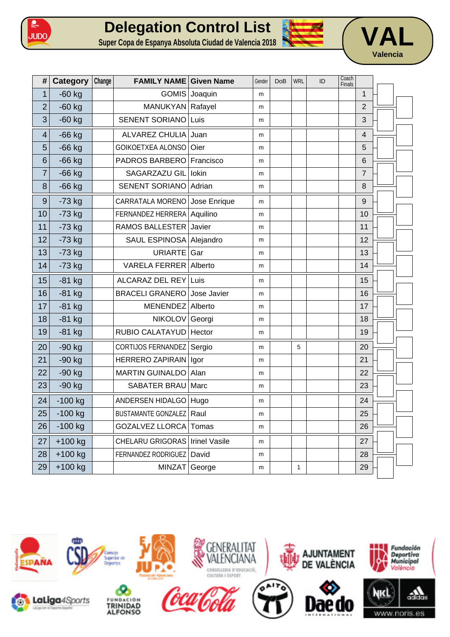

## **Delegation Control List Super Copa de Espanya Absoluta Ciudad de Valencia 2018 VAL**





| #                       | Category  | Change | <b>FAMILY NAME Given Name</b>     |               | Gender | DoB | <b>WRL</b> | ID | Coach<br>Finals |                         |  |
|-------------------------|-----------|--------|-----------------------------------|---------------|--------|-----|------------|----|-----------------|-------------------------|--|
| $\mathbf{1}$            | $-60$ kg  |        |                                   | GOMIS Joaquin | m      |     |            |    |                 | $\mathbf{1}$            |  |
| $\overline{2}$          | $-60$ kg  |        | MANUKYAN Rafayel                  |               | m      |     |            |    |                 | $\overline{2}$          |  |
| 3                       | $-60$ kg  |        | SENENT SORIANO Luis               |               | m      |     |            |    |                 | 3                       |  |
| $\overline{\mathbf{4}}$ | $-66$ kg  |        | ALVAREZ CHULIA Juan               |               | m      |     |            |    |                 | $\overline{\mathbf{4}}$ |  |
| 5                       | $-66$ kg  |        | GOIKOETXEA ALONSO                 | Oier          | m      |     |            |    |                 | 5                       |  |
| 6                       | $-66$ kg  |        | PADROS BARBERO                    | Francisco     | m      |     |            |    |                 | 6                       |  |
| 7                       | $-66$ kg  |        | SAGARZAZU GIL Iokin               |               | m      |     |            |    |                 | $\overline{7}$          |  |
| 8                       | $-66$ kg  |        | <b>SENENT SORIANO</b>             | Adrian        | m      |     |            |    |                 | 8                       |  |
| $\boldsymbol{9}$        | $-73$ kg  |        | CARRATALA MORENO                  | Jose Enrique  | m      |     |            |    |                 | 9                       |  |
| 10                      | $-73$ kg  |        | FERNANDEZ HERRERA Aquilino        |               | m      |     |            |    |                 | 10                      |  |
| 11                      | $-73$ kg  |        | RAMOS BALLESTER Javier            |               | m      |     |            |    |                 | 11                      |  |
| 12                      | $-73$ kg  |        | SAUL ESPINOSA Alejandro           |               | m      |     |            |    |                 | 12                      |  |
| 13                      | $-73$ kg  |        | URIARTE Gar                       |               | m      |     |            |    |                 | 13                      |  |
| 14                      | $-73$ kg  |        | VARELA FERRER Alberto             |               | m      |     |            |    |                 | 14                      |  |
| 15                      | $-81$ kg  |        | ALCARAZ DEL REY Luis              |               | m      |     |            |    |                 | 15                      |  |
| 16                      | $-81$ kg  |        | <b>BRACELI GRANERO</b>            | Jose Javier   | m      |     |            |    |                 | 16                      |  |
| 17                      | $-81$ kg  |        | MENENDEZ Alberto                  |               | m      |     |            |    |                 | 17                      |  |
| 18                      | $-81$ kg  |        | NIKOLOV Georgi                    |               | m      |     |            |    |                 | 18                      |  |
| 19                      | $-81$ kg  |        | RUBIO CALATAYUD   Hector          |               | m      |     |            |    |                 | 19                      |  |
| 20                      | $-90$ kg  |        | CORTIJOS FERNANDEZ Sergio         |               | m      |     | 5          |    |                 | 20                      |  |
| 21                      | -90 kg    |        | HERRERO ZAPIRAIN   Igor           |               | m      |     |            |    |                 | 21                      |  |
| 22                      | $-90$ kg  |        | <b>MARTIN GUINALDO</b>            | Alan          | m      |     |            |    |                 | 22                      |  |
| 23                      | $-90$ kg  |        | SABATER BRAU Marc                 |               | m      |     |            |    |                 | 23                      |  |
| 24                      | $-100$ kg |        | ANDERSEN HIDALGO   Hugo           |               | m      |     |            |    |                 | 24                      |  |
| 25                      | -100 kg   |        | <b>BUSTAMANTE GONZALEZ   Raul</b> |               | m      |     |            |    |                 | 25                      |  |
| 26                      | $-100$ kg |        | GOZALVEZ LLORCA Tomas             |               | m      |     |            |    |                 | 26                      |  |
| 27                      | $+100$ kg |        | CHELARU GRIGORAS   Irinel Vasile  |               | m      |     |            |    |                 | 27                      |  |
| 28                      | $+100$ kg |        | FERNANDEZ RODRIGUEZ David         |               | m      |     |            |    |                 | 28                      |  |
| 29                      | $+100$ kg |        | MINZAT George                     |               | m      |     | 1          |    |                 | 29                      |  |

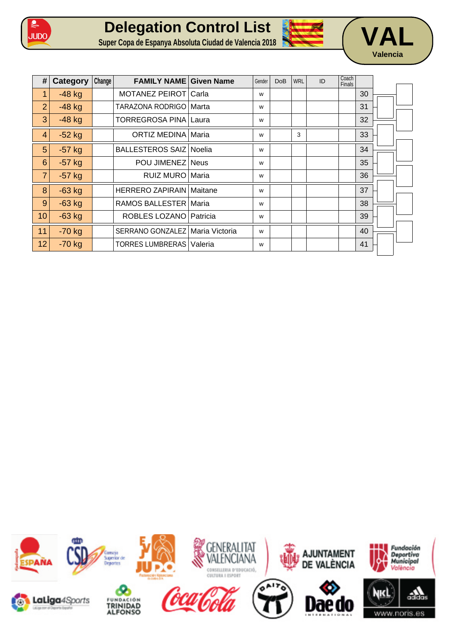





| #               | Category | Change | <b>FAMILY NAME Given Name</b>     |          | Gender | <b>DoB</b> | <b>WRL</b> | ID | Coach<br>Finals |    |  |
|-----------------|----------|--------|-----------------------------------|----------|--------|------------|------------|----|-----------------|----|--|
| 1               | $-48$ kg |        | MOTANEZ PEIROT Carla              |          | W      |            |            |    |                 | 30 |  |
| $\overline{2}$  | $-48$ kg |        | TARAZONA RODRIGO   Marta          |          | W      |            |            |    |                 | 31 |  |
| 3               | $-48$ kg |        | TORREGROSA PINA Laura             |          | W      |            |            |    |                 | 32 |  |
| 4               | $-52$ kg |        | <b>ORTIZ MEDINA Maria</b>         |          | W      |            | 3          |    |                 | 33 |  |
| 5               | $-57$ kg |        | <b>BALLESTEROS SAIZ Noelia</b>    |          | W      |            |            |    |                 | 34 |  |
| 6               | $-57$ kg |        | POU JIMENEZ Neus                  |          | W      |            |            |    |                 | 35 |  |
| $\overline{7}$  | $-57$ kg |        | RUIZ MURO Maria                   |          | W      |            |            |    |                 | 36 |  |
| 8               | $-63$ kg |        | <b>HERRERO ZAPIRAIN   Maitane</b> |          | W      |            |            |    |                 | 37 |  |
| 9               | $-63$ kg |        | RAMOS BALLESTER Maria             |          | W      |            |            |    |                 | 38 |  |
| 10 <sup>1</sup> | $-63$ kg |        | ROBLES LOZANO                     | Patricia | W      |            |            |    |                 | 39 |  |
| 11              | $-70$ kg |        | SERRANO GONZALEZ   Maria Victoria |          | W      |            |            |    |                 | 40 |  |
| 12              | $-70$ kg |        | <b>TORRES LUMBRERAS   Valeria</b> |          | W      |            |            |    |                 | 41 |  |